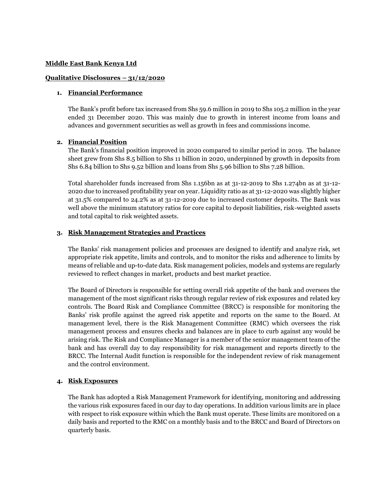#### **Middle East Bank Kenya Ltd**

#### **Qualitative Disclosures – 31/12/2020**

#### **1. Financial Performance**

The Bank's profit before tax increased from Shs 59.6 million in 2019 to Shs 105.2 million in the year ended 31 December 2020. This was mainly due to growth in interest income from loans and advances and government securities as well as growth in fees and commissions income.

#### **2. Financial Position**

The Bank's financial position improved in 2020 compared to similar period in 2019. The balance sheet grew from Shs 8.5 billion to Shs 11 billion in 2020, underpinned by growth in deposits from Shs 6.84 billion to Shs 9.52 billion and loans from Shs 5.96 billion to Shs 7.28 billion.

Total shareholder funds increased from Shs 1.156bn as at 31-12-2019 to Shs 1.274bn as at 31-12- 2020 due to increased profitability year on year. Liquidity ratio as at 31-12-2020 was slightly higher at 31.5% compared to 24.2% as at 31-12-2019 due to increased customer deposits. The Bank was well above the minimum statutory ratios for core capital to deposit liabilities, risk-weighted assets and total capital to risk weighted assets.

### **3. Risk Management Strategies and Practices**

The Banks' risk management policies and processes are designed to identify and analyze risk, set appropriate risk appetite, limits and controls, and to monitor the risks and adherence to limits by means of reliable and up-to-date data. Risk management policies, models and systems are regularly reviewed to reflect changes in market, products and best market practice.

The Board of Directors is responsible for setting overall risk appetite of the bank and oversees the management of the most significant risks through regular review of risk exposures and related key controls. The Board Risk and Compliance Committee (BRCC) is responsible for monitoring the Banks' risk profile against the agreed risk appetite and reports on the same to the Board. At management level, there is the Risk Management Committee (RMC) which oversees the risk management process and ensures checks and balances are in place to curb against any would be arising risk. The Risk and Compliance Manager is a member of the senior management team of the bank and has overall day to day responsibility for risk management and reports directly to the BRCC. The Internal Audit function is responsible for the independent review of risk management and the control environment.

#### **4. Risk Exposures**

The Bank has adopted a Risk Management Framework for identifying, monitoring and addressing the various risk exposures faced in our day to day operations. In addition various limits are in place with respect to risk exposure within which the Bank must operate. These limits are monitored on a daily basis and reported to the RMC on a monthly basis and to the BRCC and Board of Directors on quarterly basis.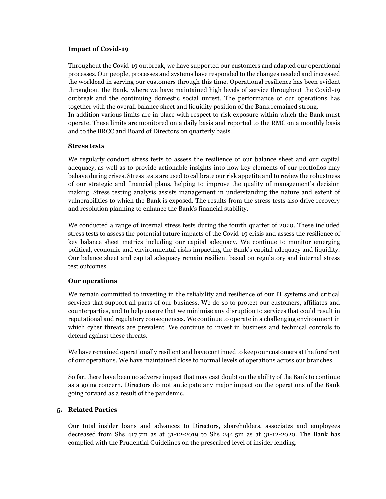## **Impact of Covid-19**

Throughout the Covid-19 outbreak, we have supported our customers and adapted our operational processes. Our people, processes and systems have responded to the changes needed and increased the workload in serving our customers through this time. Operational resilience has been evident throughout the Bank, where we have maintained high levels of service throughout the Covid-19 outbreak and the continuing domestic social unrest. The performance of our operations has together with the overall balance sheet and liquidity position of the Bank remained strong. In addition various limits are in place with respect to risk exposure within which the Bank must operate. These limits are monitored on a daily basis and reported to the RMC on a monthly basis and to the BRCC and Board of Directors on quarterly basis.

### **Stress tests**

We regularly conduct stress tests to assess the resilience of our balance sheet and our capital adequacy, as well as to provide actionable insights into how key elements of our portfolios may behave during crises. Stress tests are used to calibrate our risk appetite and to review the robustness of our strategic and financial plans, helping to improve the quality of management's decision making. Stress testing analysis assists management in understanding the nature and extent of vulnerabilities to which the Bank is exposed. The results from the stress tests also drive recovery and resolution planning to enhance the Bank's financial stability.

We conducted a range of internal stress tests during the fourth quarter of 2020. These included stress tests to assess the potential future impacts of the Covid-19 crisis and assess the resilience of key balance sheet metrics including our capital adequacy. We continue to monitor emerging political, economic and environmental risks impacting the Bank's capital adequacy and liquidity. Our balance sheet and capital adequacy remain resilient based on regulatory and internal stress test outcomes.

#### **Our operations**

We remain committed to investing in the reliability and resilience of our IT systems and critical services that support all parts of our business. We do so to protect our customers, affiliates and counterparties, and to help ensure that we minimise any disruption to services that could result in reputational and regulatory consequences. We continue to operate in a challenging environment in which cyber threats are prevalent. We continue to invest in business and technical controls to defend against these threats.

We have remained operationally resilient and have continued to keep our customers at the forefront of our operations. We have maintained close to normal levels of operations across our branches.

So far, there have been no adverse impact that may cast doubt on the ability of the Bank to continue as a going concern. Directors do not anticipate any major impact on the operations of the Bank going forward as a result of the pandemic.

# **5. Related Parties**

Our total insider loans and advances to Directors, shareholders, associates and employees decreased from Shs 417.7m as at 31-12-2019 to Shs 244.5m as at 31-12-2020. The Bank has complied with the Prudential Guidelines on the prescribed level of insider lending.